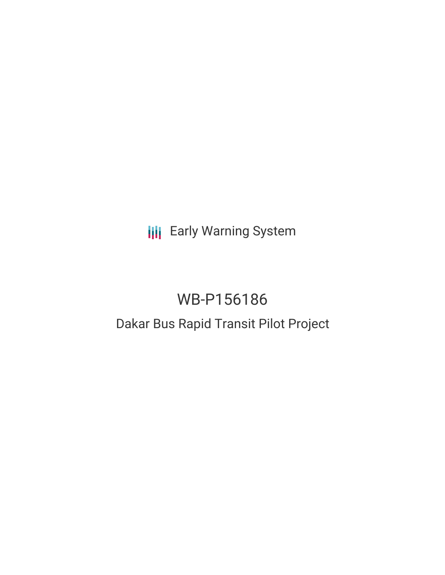**III** Early Warning System

# WB-P156186 Dakar Bus Rapid Transit Pilot Project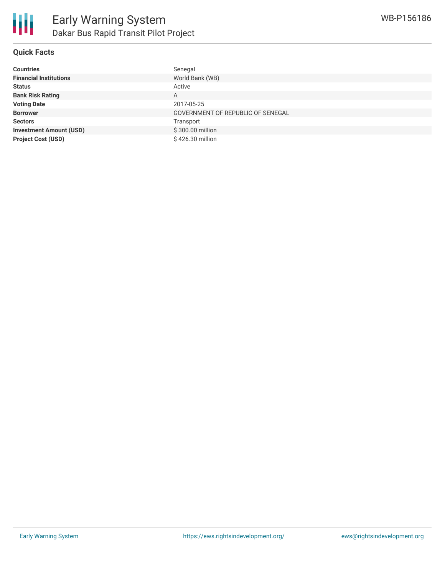

## **Quick Facts**

| <b>Countries</b>               | Senegal                           |
|--------------------------------|-----------------------------------|
| <b>Financial Institutions</b>  | World Bank (WB)                   |
| <b>Status</b>                  | Active                            |
| <b>Bank Risk Rating</b>        | A                                 |
| <b>Voting Date</b>             | 2017-05-25                        |
| <b>Borrower</b>                | GOVERNMENT OF REPUBLIC OF SENEGAL |
| <b>Sectors</b>                 | Transport                         |
| <b>Investment Amount (USD)</b> | \$300.00 million                  |
| <b>Project Cost (USD)</b>      | \$426.30 million                  |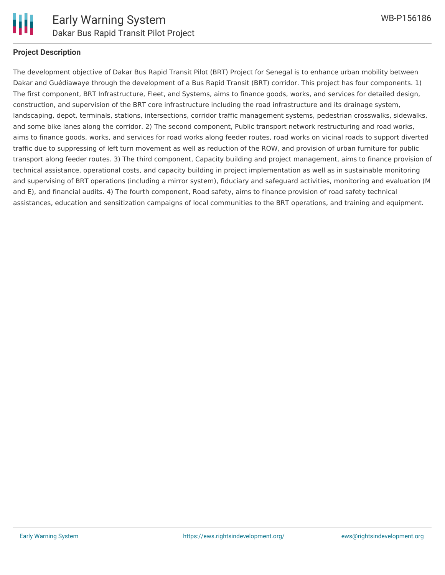

#### **Project Description**

The development objective of Dakar Bus Rapid Transit Pilot (BRT) Project for Senegal is to enhance urban mobility between Dakar and Guédiawaye through the development of a Bus Rapid Transit (BRT) corridor. This project has four components. 1) The first component, BRT Infrastructure, Fleet, and Systems, aims to finance goods, works, and services for detailed design, construction, and supervision of the BRT core infrastructure including the road infrastructure and its drainage system, landscaping, depot, terminals, stations, intersections, corridor traffic management systems, pedestrian crosswalks, sidewalks, and some bike lanes along the corridor. 2) The second component, Public transport network restructuring and road works, aims to finance goods, works, and services for road works along feeder routes, road works on vicinal roads to support diverted traffic due to suppressing of left turn movement as well as reduction of the ROW, and provision of urban furniture for public transport along feeder routes. 3) The third component, Capacity building and project management, aims to finance provision of technical assistance, operational costs, and capacity building in project implementation as well as in sustainable monitoring and supervising of BRT operations (including a mirror system), fiduciary and safeguard activities, monitoring and evaluation (M and E), and financial audits. 4) The fourth component, Road safety, aims to finance provision of road safety technical assistances, education and sensitization campaigns of local communities to the BRT operations, and training and equipment.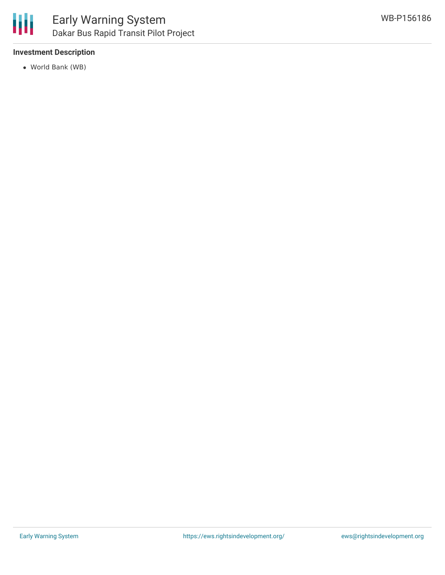### **Investment Description**

World Bank (WB)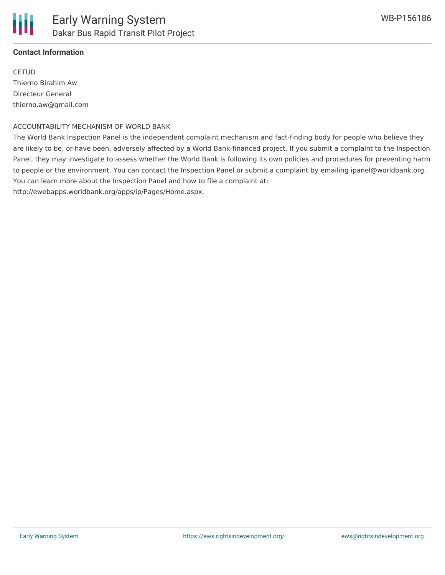

#### **Contact Information**

**CETUD** Thierno Birahim Aw Directeur General thierno.aw@gmail.com

#### ACCOUNTABILITY MECHANISM OF WORLD BANK

The World Bank Inspection Panel is the independent complaint mechanism and fact-finding body for people who believe they are likely to be, or have been, adversely affected by a World Bank-financed project. If you submit a complaint to the Inspection Panel, they may investigate to assess whether the World Bank is following its own policies and procedures for preventing harm to people or the environment. You can contact the Inspection Panel or submit a complaint by emailing ipanel@worldbank.org. You can learn more about the Inspection Panel and how to file a complaint at: http://ewebapps.worldbank.org/apps/ip/Pages/Home.aspx.